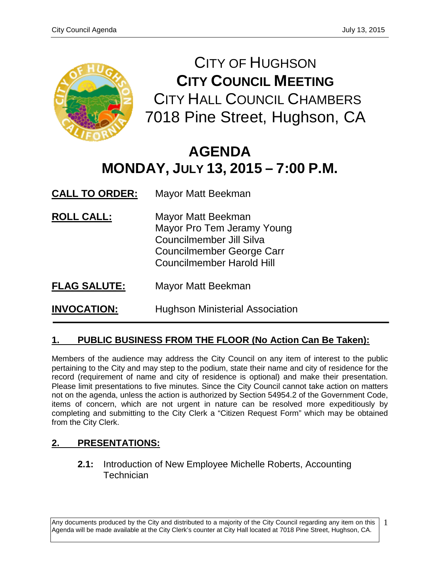

CITY OF HUGHSON **CITY COUNCIL MEETING** CITY HALL COUNCIL CHAMBERS 7018 Pine Street, Hughson, CA

# **AGENDA MONDAY, JULY 13, 2015 – 7:00 P.M.**

**CALL TO ORDER:** Mayor Matt Beekman

- **ROLL CALL:** Mayor Matt Beekman Mayor Pro Tem Jeramy Young Councilmember Jill Silva Councilmember George Carr Councilmember Harold Hill
- **FLAG SALUTE:** Mayor Matt Beekman

**INVOCATION:** Hughson Ministerial Association

## **1. PUBLIC BUSINESS FROM THE FLOOR (No Action Can Be Taken):**

Members of the audience may address the City Council on any item of interest to the public pertaining to the City and may step to the podium, state their name and city of residence for the record (requirement of name and city of residence is optional) and make their presentation. Please limit presentations to five minutes. Since the City Council cannot take action on matters not on the agenda, unless the action is authorized by Section 54954.2 of the Government Code, items of concern, which are not urgent in nature can be resolved more expeditiously by completing and submitting to the City Clerk a "Citizen Request Form" which may be obtained from the City Clerk.

## **2. PRESENTATIONS:**

**2.1:** Introduction of New Employee Michelle Roberts, Accounting **Technician** 

Any documents produced by the City and distributed to a majority of the City Council regarding any item on this Agenda will be made available at the City Clerk's counter at City Hall located at 7018 Pine Street, Hughson, CA.

1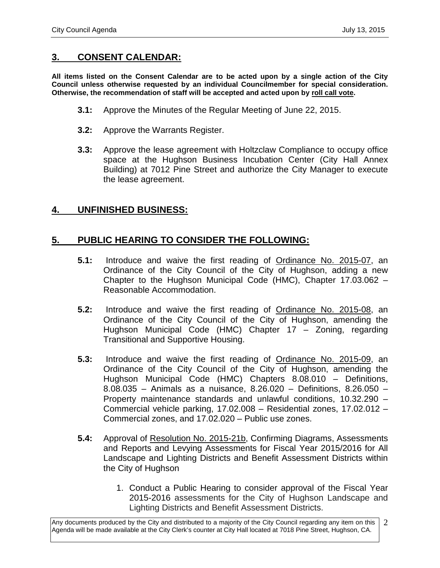#### **3. CONSENT CALENDAR:**

**All items listed on the Consent Calendar are to be acted upon by a single action of the City Council unless otherwise requested by an individual Councilmember for special consideration. Otherwise, the recommendation of staff will be accepted and acted upon by roll call vote.**

- **3.1:** Approve the Minutes of the Regular Meeting of June 22, 2015.
- **3.2:** Approve the Warrants Register.
- **3.3:** Approve the lease agreement with Holtzclaw Compliance to occupy office space at the Hughson Business Incubation Center (City Hall Annex Building) at 7012 Pine Street and authorize the City Manager to execute the lease agreement.

#### **4. UNFINISHED BUSINESS:**

## **5. PUBLIC HEARING TO CONSIDER THE FOLLOWING:**

- **5.1:** Introduce and waive the first reading of Ordinance No. 2015-07, an Ordinance of the City Council of the City of Hughson, adding a new Chapter to the Hughson Municipal Code (HMC), Chapter 17.03.062 – Reasonable Accommodation.
- **5.2:** Introduce and waive the first reading of Ordinance No. 2015-08, an Ordinance of the City Council of the City of Hughson, amending the Hughson Municipal Code (HMC) Chapter 17 – Zoning, regarding Transitional and Supportive Housing.
- **5.3:** Introduce and waive the first reading of Ordinance No. 2015-09, an Ordinance of the City Council of the City of Hughson, amending the Hughson Municipal Code (HMC) Chapters 8.08.010 – Definitions, 8.08.035 – Animals as a nuisance, 8.26.020 – Definitions, 8.26.050 – Property maintenance standards and unlawful conditions, 10.32.290 – Commercial vehicle parking, 17.02.008 – Residential zones, 17.02.012 – Commercial zones, and 17.02.020 – Public use zones.
- **5.4:** Approval of Resolution No. 2015-21b, Confirming Diagrams, Assessments and Reports and Levying Assessments for Fiscal Year 2015/2016 for All Landscape and Lighting Districts and Benefit Assessment Districts within the City of Hughson
	- 1. Conduct a Public Hearing to consider approval of the Fiscal Year 2015-2016 assessments for the City of Hughson Landscape and Lighting Districts and Benefit Assessment Districts.

Any documents produced by the City and distributed to a majority of the City Council regarding any item on this Agenda will be made available at the City Clerk's counter at City Hall located at 7018 Pine Street, Hughson, CA. 2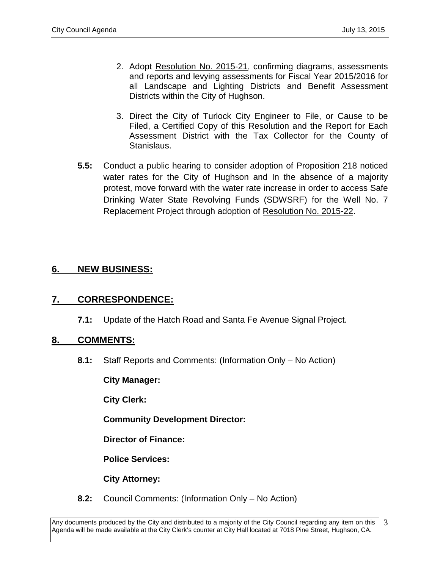- 2. Adopt Resolution No. 2015-21, confirming diagrams, assessments and reports and levying assessments for Fiscal Year 2015/2016 for all Landscape and Lighting Districts and Benefit Assessment Districts within the City of Hughson.
- 3. Direct the City of Turlock City Engineer to File, or Cause to be Filed, a Certified Copy of this Resolution and the Report for Each Assessment District with the Tax Collector for the County of Stanislaus.
- **5.5:** Conduct a public hearing to consider adoption of Proposition 218 noticed water rates for the City of Hughson and In the absence of a majority protest, move forward with the water rate increase in order to access Safe Drinking Water State Revolving Funds (SDWSRF) for the Well No. 7 Replacement Project through adoption of Resolution No. 2015-22.

## **6. NEW BUSINESS:**

#### **7. CORRESPONDENCE:**

**7.1:** Update of the Hatch Road and Santa Fe Avenue Signal Project.

#### **8. COMMENTS:**

**8.1:** Staff Reports and Comments: (Information Only – No Action)

**City Manager:** 

**City Clerk:**

**Community Development Director:**

**Director of Finance:**

**Police Services:**

**City Attorney:**

**8.2:** Council Comments: (Information Only – No Action)

Any documents produced by the City and distributed to a majority of the City Council regarding any item on this Agenda will be made available at the City Clerk's counter at City Hall located at 7018 Pine Street, Hughson, CA. 3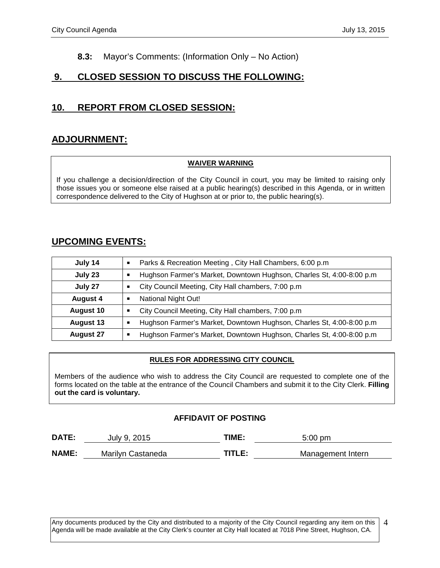#### **8.3:** Mayor's Comments: (Information Only – No Action)

## **9. CLOSED SESSION TO DISCUSS THE FOLLOWING:**

## **10. REPORT FROM CLOSED SESSION:**

## **ADJOURNMENT:**

#### **WAIVER WARNING**

If you challenge a decision/direction of the City Council in court, you may be limited to raising only those issues you or someone else raised at a public hearing(s) described in this Agenda, or in written correspondence delivered to the City of Hughson at or prior to, the public hearing(s).

## **UPCOMING EVENTS:**

| July 14          | Parks & Recreation Meeting, City Hall Chambers, 6:00 p.m.<br>$\blacksquare$             |  |
|------------------|-----------------------------------------------------------------------------------------|--|
| July 23          | Hughson Farmer's Market, Downtown Hughson, Charles St, 4:00-8:00 p.m.<br>$\blacksquare$ |  |
| July 27          | City Council Meeting, City Hall chambers, 7:00 p.m.<br>$\blacksquare$                   |  |
| <b>August 4</b>  | National Night Out!<br>$\blacksquare$                                                   |  |
| <b>August 10</b> | City Council Meeting, City Hall chambers, 7:00 p.m.<br>$\blacksquare$                   |  |
| <b>August 13</b> | Hughson Farmer's Market, Downtown Hughson, Charles St, 4:00-8:00 p.m<br>Ξ               |  |
| <b>August 27</b> | Hughson Farmer's Market, Downtown Hughson, Charles St, 4:00-8:00 p.m<br>$\blacksquare$  |  |

#### **RULES FOR ADDRESSING CITY COUNCIL**

Members of the audience who wish to address the City Council are requested to complete one of the forms located on the table at the entrance of the Council Chambers and submit it to the City Clerk. **Filling out the card is voluntary.**

#### **AFFIDAVIT OF POSTING**

| DATE:        | July 9, 2015      | TIME:   | $5:00$ pm         |
|--------------|-------------------|---------|-------------------|
| <b>NAME:</b> | Marilyn Castaneda | TITI F· | Management Intern |

Any documents produced by the City and distributed to a majority of the City Council regarding any item on this Agenda will be made available at the City Clerk's counter at City Hall located at 7018 Pine Street, Hughson, CA. 4